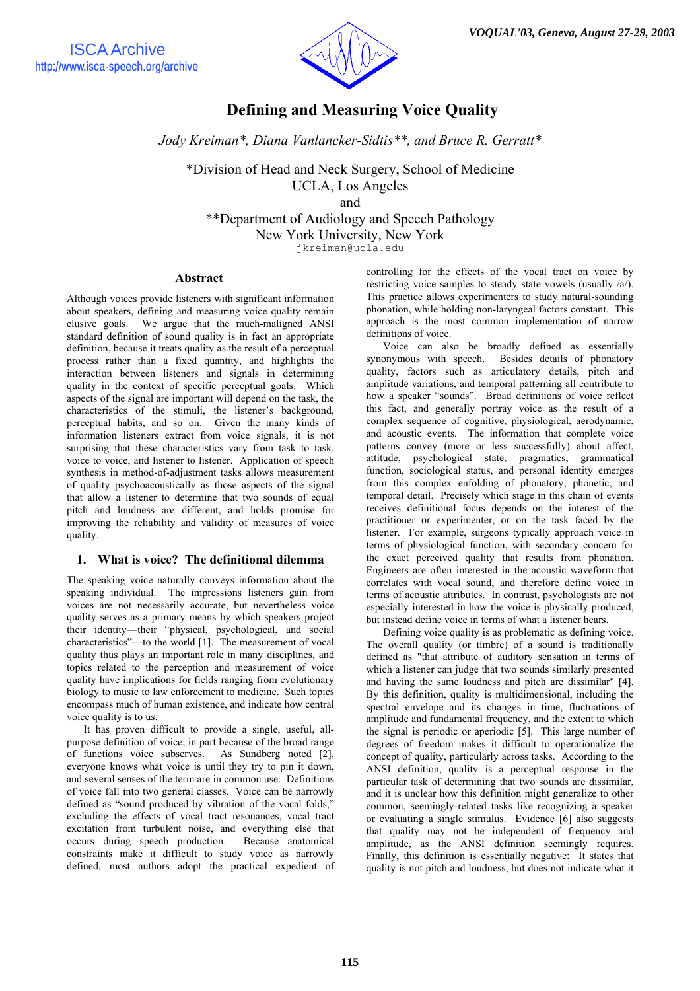

# **Defining and Measuring Voice Quality**

*Jody Kreiman\*, Diana Vanlancker-Sidtis\*\*, and Bruce R. Gerratt\** 

\*Division of Head and Neck Surgery, School of Medicine UCLA, Los Angeles and

\*\*Department of Audiology and Speech Pathology New York University, New York jkreiman@ucla.edu

### **Abstract**

Although voices provide listeners with significant information about speakers, defining and measuring voice quality remain elusive goals. We argue that the much-maligned ANSI standard definition of sound quality is in fact an appropriate definition, because it treats quality as the result of a perceptual process rather than a fixed quantity, and highlights the interaction between listeners and signals in determining quality in the context of specific perceptual goals. Which aspects of the signal are important will depend on the task, the characteristics of the stimuli, the listener's background, perceptual habits, and so on. Given the many kinds of information listeners extract from voice signals, it is not surprising that these characteristics vary from task to task, voice to voice, and listener to listener. Application of speech synthesis in method-of-adjustment tasks allows measurement of quality psychoacoustically as those aspects of the signal that allow a listener to determine that two sounds of equal pitch and loudness are different, and holds promise for improving the reliability and validity of measures of voice quality.

## **1. What is voice? The definitional dilemma**

The speaking voice naturally conveys information about the speaking individual. The impressions listeners gain from voices are not necessarily accurate, but nevertheless voice quality serves as a primary means by which speakers project their identity—their "physical, psychological, and social characteristics"—to the world [1]. The measurement of vocal quality thus plays an important role in many disciplines, and topics related to the perception and measurement of voice quality have implications for fields ranging from evolutionary biology to music to law enforcement to medicine. Such topics encompass much of human existence, and indicate how central voice quality is to us.

It has proven difficult to provide a single, useful, allpurpose definition of voice, in part because of the broad range of functions voice subserves. As Sundberg noted [2], everyone knows what voice is until they try to pin it down, and several senses of the term are in common use. Definitions of voice fall into two general classes. Voice can be narrowly defined as "sound produced by vibration of the vocal folds," excluding the effects of vocal tract resonances, vocal tract excitation from turbulent noise, and everything else that occurs during speech production. Because anatomical constraints make it difficult to study voice as narrowly defined, most authors adopt the practical expedient of controlling for the effects of the vocal tract on voice by restricting voice samples to steady state vowels (usually /a/). This practice allows experimenters to study natural-sounding phonation, while holding non-laryngeal factors constant. This approach is the most common implementation of narrow definitions of voice.

Voice can also be broadly defined as essentially synonymous with speech. Besides details of phonatory quality, factors such as articulatory details, pitch and amplitude variations, and temporal patterning all contribute to how a speaker "sounds". Broad definitions of voice reflect this fact, and generally portray voice as the result of a complex sequence of cognitive, physiological, aerodynamic, and acoustic events. The information that complete voice patterns convey (more or less successfully) about affect, attitude, psychological state, pragmatics, grammatical function, sociological status, and personal identity emerges from this complex enfolding of phonatory, phonetic, and temporal detail. Precisely which stage in this chain of events receives definitional focus depends on the interest of the practitioner or experimenter, or on the task faced by the listener. For example, surgeons typically approach voice in terms of physiological function, with secondary concern for the exact perceived quality that results from phonation. Engineers are often interested in the acoustic waveform that correlates with vocal sound, and therefore define voice in terms of acoustic attributes. In contrast, psychologists are not especially interested in how the voice is physically produced, but instead define voice in terms of what a listener hears.

Defining voice quality is as problematic as defining voice. The overall quality (or timbre) of a sound is traditionally defined as "that attribute of auditory sensation in terms of which a listener can judge that two sounds similarly presented and having the same loudness and pitch are dissimilar" [4]. By this definition, quality is multidimensional, including the spectral envelope and its changes in time, fluctuations of amplitude and fundamental frequency, and the extent to which the signal is periodic or aperiodic [5]. This large number of degrees of freedom makes it difficult to operationalize the concept of quality, particularly across tasks. According to the ANSI definition, quality is a perceptual response in the particular task of determining that two sounds are dissimilar, and it is unclear how this definition might generalize to other common, seemingly-related tasks like recognizing a speaker or evaluating a single stimulus. Evidence [6] also suggests that quality may not be independent of frequency and amplitude, as the ANSI definition seemingly requires. Finally, this definition is essentially negative: It states that quality is not pitch and loudness, but does not indicate what it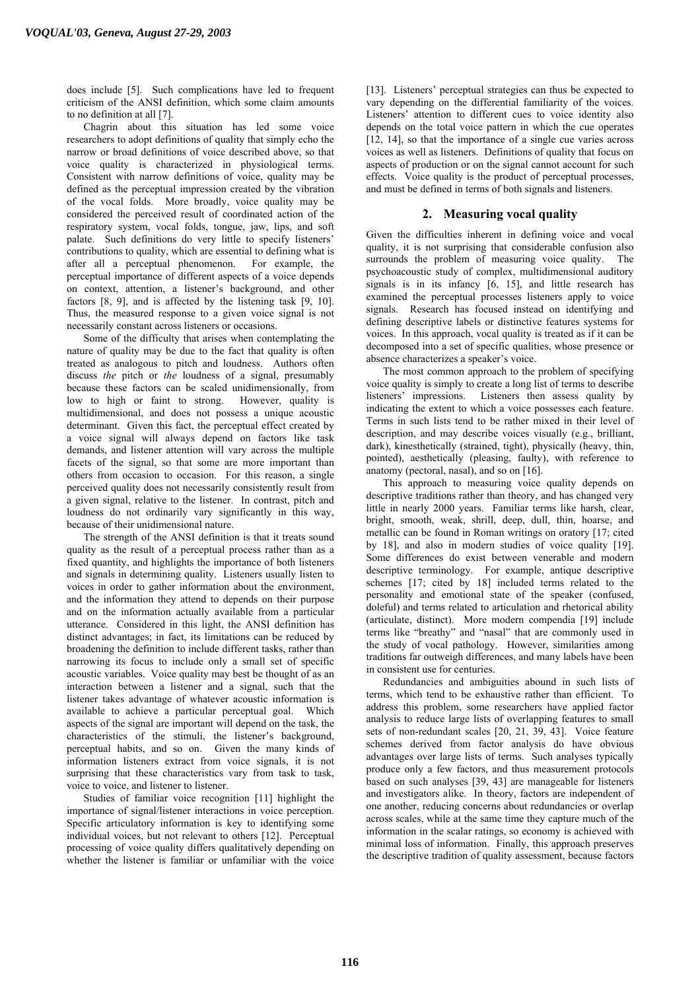does include [5]. Such complications have led to frequent criticism of the ANSI definition, which some claim amounts to no definition at all [7].

Chagrin about this situation has led some voice researchers to adopt definitions of quality that simply echo the narrow or broad definitions of voice described above, so that voice quality is characterized in physiological terms. Consistent with narrow definitions of voice, quality may be defined as the perceptual impression created by the vibration of the vocal folds. More broadly, voice quality may be considered the perceived result of coordinated action of the respiratory system, vocal folds, tongue, jaw, lips, and soft palate. Such definitions do very little to specify listeners' contributions to quality, which are essential to defining what is after all a perceptual phenomenon. For example, the perceptual importance of different aspects of a voice depends on context, attention, a listener's background, and other factors [8, 9], and is affected by the listening task [9, 10]. Thus, the measured response to a given voice signal is not necessarily constant across listeners or occasions.

Some of the difficulty that arises when contemplating the nature of quality may be due to the fact that quality is often treated as analogous to pitch and loudness. Authors often discuss *the* pitch or *the* loudness of a signal, presumably because these factors can be scaled unidimensionally, from low to high or faint to strong. However, quality is multidimensional, and does not possess a unique acoustic determinant. Given this fact, the perceptual effect created by a voice signal will always depend on factors like task demands, and listener attention will vary across the multiple facets of the signal, so that some are more important than others from occasion to occasion. For this reason, a single perceived quality does not necessarily consistently result from a given signal, relative to the listener. In contrast, pitch and loudness do not ordinarily vary significantly in this way, because of their unidimensional nature.

The strength of the ANSI definition is that it treats sound quality as the result of a perceptual process rather than as a fixed quantity, and highlights the importance of both listeners and signals in determining quality. Listeners usually listen to voices in order to gather information about the environment, and the information they attend to depends on their purpose and on the information actually available from a particular utterance. Considered in this light, the ANSI definition has distinct advantages; in fact, its limitations can be reduced by broadening the definition to include different tasks, rather than narrowing its focus to include only a small set of specific acoustic variables. Voice quality may best be thought of as an interaction between a listener and a signal, such that the listener takes advantage of whatever acoustic information is available to achieve a particular perceptual goal. Which aspects of the signal are important will depend on the task, the characteristics of the stimuli, the listener's background, perceptual habits, and so on. Given the many kinds of information listeners extract from voice signals, it is not surprising that these characteristics vary from task to task, voice to voice, and listener to listener.

Studies of familiar voice recognition [11] highlight the importance of signal/listener interactions in voice perception. Specific articulatory information is key to identifying some individual voices, but not relevant to others [12]. Perceptual processing of voice quality differs qualitatively depending on whether the listener is familiar or unfamiliar with the voice [13]. Listeners' perceptual strategies can thus be expected to vary depending on the differential familiarity of the voices. Listeners' attention to different cues to voice identity also depends on the total voice pattern in which the cue operates [12, 14], so that the importance of a single cue varies across voices as well as listeners. Definitions of quality that focus on aspects of production or on the signal cannot account for such effects. Voice quality is the product of perceptual processes, and must be defined in terms of both signals and listeners.

### **2. Measuring vocal quality**

Given the difficulties inherent in defining voice and vocal quality, it is not surprising that considerable confusion also surrounds the problem of measuring voice quality. The psychoacoustic study of complex, multidimensional auditory signals is in its infancy [6, 15], and little research has examined the perceptual processes listeners apply to voice signals. Research has focused instead on identifying and defining descriptive labels or distinctive features systems for voices. In this approach, vocal quality is treated as if it can be decomposed into a set of specific qualities, whose presence or absence characterizes a speaker's voice.

The most common approach to the problem of specifying voice quality is simply to create a long list of terms to describe listeners' impressions. Listeners then assess quality by indicating the extent to which a voice possesses each feature. Terms in such lists tend to be rather mixed in their level of description, and may describe voices visually (e.g., brilliant, dark), kinesthetically (strained, tight), physically (heavy, thin, pointed), aesthetically (pleasing, faulty), with reference to anatomy (pectoral, nasal), and so on [16].

This approach to measuring voice quality depends on descriptive traditions rather than theory, and has changed very little in nearly 2000 years. Familiar terms like harsh, clear, bright, smooth, weak, shrill, deep, dull, thin, hoarse, and metallic can be found in Roman writings on oratory [17; cited by 18], and also in modern studies of voice quality [19]. Some differences do exist between venerable and modern descriptive terminology. For example, antique descriptive schemes [17; cited by 18] included terms related to the personality and emotional state of the speaker (confused, doleful) and terms related to articulation and rhetorical ability (articulate, distinct). More modern compendia [19] include terms like "breathy" and "nasal" that are commonly used in the study of vocal pathology. However, similarities among traditions far outweigh differences, and many labels have been in consistent use for centuries.

Redundancies and ambiguities abound in such lists of terms, which tend to be exhaustive rather than efficient. To address this problem, some researchers have applied factor analysis to reduce large lists of overlapping features to small sets of non-redundant scales [20, 21, 39, 43]. Voice feature schemes derived from factor analysis do have obvious advantages over large lists of terms. Such analyses typically produce only a few factors, and thus measurement protocols based on such analyses [39, 43] are manageable for listeners and investigators alike. In theory, factors are independent of one another, reducing concerns about redundancies or overlap across scales, while at the same time they capture much of the information in the scalar ratings, so economy is achieved with minimal loss of information. Finally, this approach preserves the descriptive tradition of quality assessment, because factors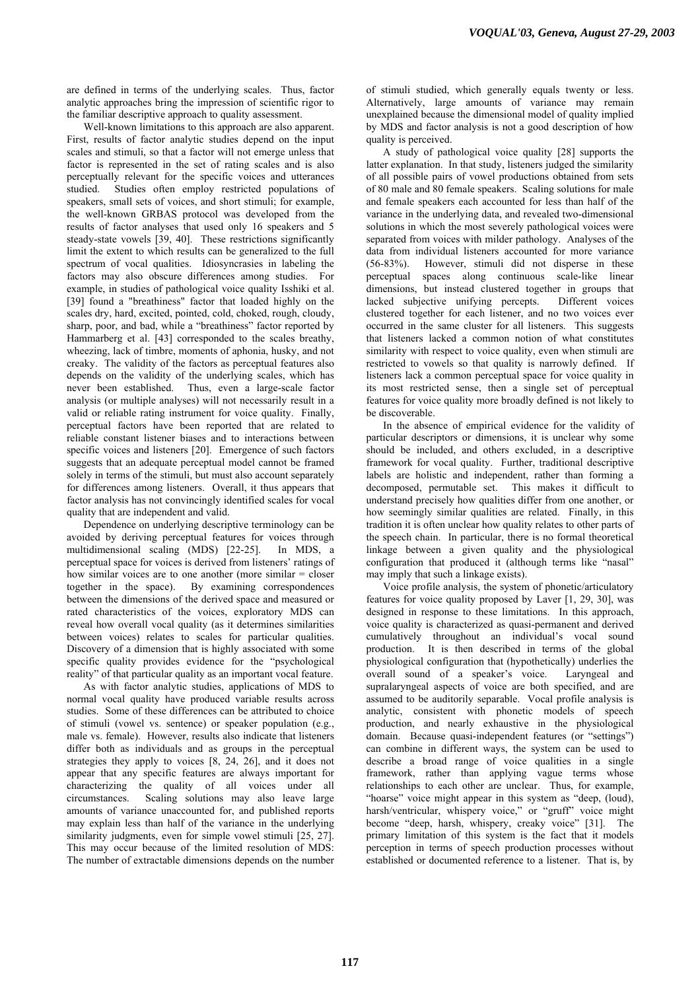are defined in terms of the underlying scales. Thus, factor analytic approaches bring the impression of scientific rigor to the familiar descriptive approach to quality assessment.

Well-known limitations to this approach are also apparent. First, results of factor analytic studies depend on the input scales and stimuli, so that a factor will not emerge unless that factor is represented in the set of rating scales and is also perceptually relevant for the specific voices and utterances studied. Studies often employ restricted populations of speakers, small sets of voices, and short stimuli; for example, the well-known GRBAS protocol was developed from the results of factor analyses that used only 16 speakers and 5 steady-state vowels [39, 40]. These restrictions significantly limit the extent to which results can be generalized to the full spectrum of vocal qualities. Idiosyncrasies in labeling the factors may also obscure differences among studies. For example, in studies of pathological voice quality Isshiki et al. [39] found a "breathiness" factor that loaded highly on the scales dry, hard, excited, pointed, cold, choked, rough, cloudy, sharp, poor, and bad, while a "breathiness" factor reported by Hammarberg et al. [43] corresponded to the scales breathy, wheezing, lack of timbre, moments of aphonia, husky, and not creaky. The validity of the factors as perceptual features also depends on the validity of the underlying scales, which has never been established. Thus, even a large-scale factor analysis (or multiple analyses) will not necessarily result in a valid or reliable rating instrument for voice quality. Finally, perceptual factors have been reported that are related to reliable constant listener biases and to interactions between specific voices and listeners [20]. Emergence of such factors suggests that an adequate perceptual model cannot be framed solely in terms of the stimuli, but must also account separately for differences among listeners. Overall, it thus appears that factor analysis has not convincingly identified scales for vocal quality that are independent and valid.

Dependence on underlying descriptive terminology can be avoided by deriving perceptual features for voices through multidimensional scaling (MDS) [22-25]. In MDS, a perceptual space for voices is derived from listeners' ratings of how similar voices are to one another (more similar = closer together in the space). By examining correspondences between the dimensions of the derived space and measured or rated characteristics of the voices, exploratory MDS can reveal how overall vocal quality (as it determines similarities between voices) relates to scales for particular qualities. Discovery of a dimension that is highly associated with some specific quality provides evidence for the "psychological reality" of that particular quality as an important vocal feature.

As with factor analytic studies, applications of MDS to normal vocal quality have produced variable results across studies. Some of these differences can be attributed to choice of stimuli (vowel vs. sentence) or speaker population (e.g., male vs. female). However, results also indicate that listeners differ both as individuals and as groups in the perceptual strategies they apply to voices [8, 24, 26], and it does not appear that any specific features are always important for characterizing the quality of all voices under all circumstances. Scaling solutions may also leave large amounts of variance unaccounted for, and published reports may explain less than half of the variance in the underlying similarity judgments, even for simple vowel stimuli [25, 27]. This may occur because of the limited resolution of MDS: The number of extractable dimensions depends on the number

of stimuli studied, which generally equals twenty or less. Alternatively, large amounts of variance may remain unexplained because the dimensional model of quality implied by MDS and factor analysis is not a good description of how quality is perceived.

A study of pathological voice quality [28] supports the latter explanation. In that study, listeners judged the similarity of all possible pairs of vowel productions obtained from sets of 80 male and 80 female speakers. Scaling solutions for male and female speakers each accounted for less than half of the variance in the underlying data, and revealed two-dimensional solutions in which the most severely pathological voices were separated from voices with milder pathology. Analyses of the data from individual listeners accounted for more variance (56-83%). However, stimuli did not disperse in these perceptual spaces along continuous scale-like linear dimensions, but instead clustered together in groups that lacked subjective unifying percepts. Different voices clustered together for each listener, and no two voices ever occurred in the same cluster for all listeners. This suggests that listeners lacked a common notion of what constitutes similarity with respect to voice quality, even when stimuli are restricted to vowels so that quality is narrowly defined. If listeners lack a common perceptual space for voice quality in its most restricted sense, then a single set of perceptual features for voice quality more broadly defined is not likely to be discoverable.

In the absence of empirical evidence for the validity of particular descriptors or dimensions, it is unclear why some should be included, and others excluded, in a descriptive framework for vocal quality. Further, traditional descriptive labels are holistic and independent, rather than forming a decomposed, permutable set. This makes it difficult to understand precisely how qualities differ from one another, or how seemingly similar qualities are related. Finally, in this tradition it is often unclear how quality relates to other parts of the speech chain. In particular, there is no formal theoretical linkage between a given quality and the physiological configuration that produced it (although terms like "nasal" may imply that such a linkage exists).

Voice profile analysis, the system of phonetic/articulatory features for voice quality proposed by Laver [1, 29, 30], was designed in response to these limitations. In this approach, voice quality is characterized as quasi-permanent and derived cumulatively throughout an individual's vocal sound production. It is then described in terms of the global physiological configuration that (hypothetically) underlies the overall sound of a speaker's voice. Laryngeal and supralaryngeal aspects of voice are both specified, and are assumed to be auditorily separable. Vocal profile analysis is analytic, consistent with phonetic models of speech production, and nearly exhaustive in the physiological domain. Because quasi-independent features (or "settings") can combine in different ways, the system can be used to describe a broad range of voice qualities in a single framework, rather than applying vague terms whose relationships to each other are unclear. Thus, for example, "hoarse" voice might appear in this system as "deep, (loud), harsh/ventricular, whispery voice," or "gruff" voice might become "deep, harsh, whispery, creaky voice" [31]. The primary limitation of this system is the fact that it models perception in terms of speech production processes without established or documented reference to a listener. That is, by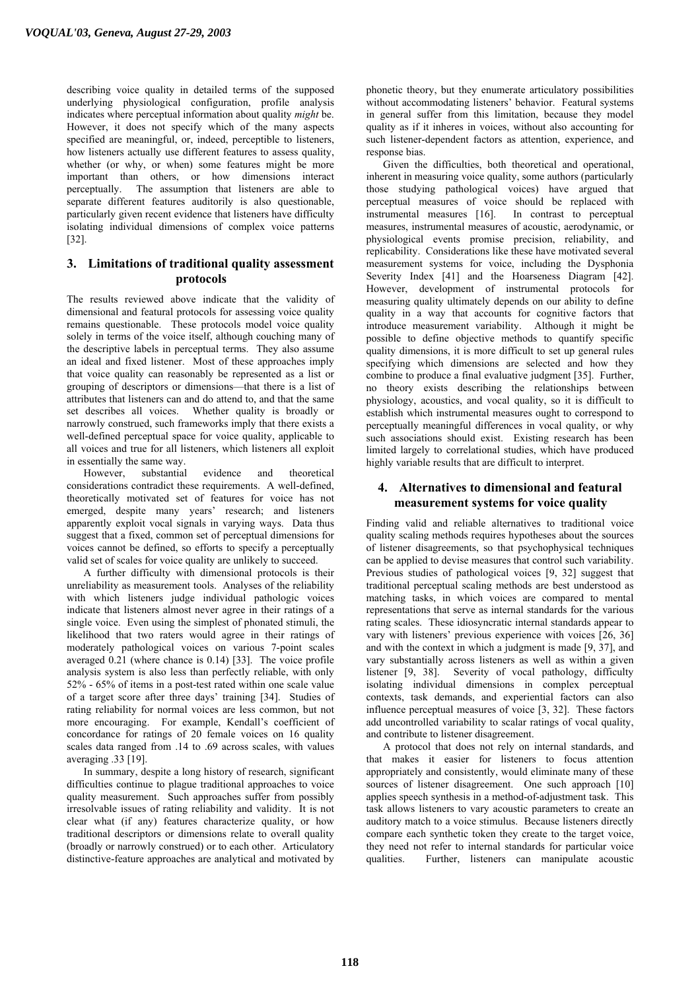describing voice quality in detailed terms of the supposed underlying physiological configuration, profile analysis indicates where perceptual information about quality *might* be. However, it does not specify which of the many aspects specified are meaningful, or, indeed, perceptible to listeners, how listeners actually use different features to assess quality, whether (or why, or when) some features might be more important than others, or how dimensions interact perceptually. The assumption that listeners are able to separate different features auditorily is also questionable, particularly given recent evidence that listeners have difficulty isolating individual dimensions of complex voice patterns [32].

# **3. Limitations of traditional quality assessment protocols**

The results reviewed above indicate that the validity of dimensional and featural protocols for assessing voice quality remains questionable. These protocols model voice quality solely in terms of the voice itself, although couching many of the descriptive labels in perceptual terms. They also assume an ideal and fixed listener. Most of these approaches imply that voice quality can reasonably be represented as a list or grouping of descriptors or dimensions—that there is a list of attributes that listeners can and do attend to, and that the same set describes all voices. Whether quality is broadly or narrowly construed, such frameworks imply that there exists a well-defined perceptual space for voice quality, applicable to all voices and true for all listeners, which listeners all exploit in essentially the same way.

However, substantial evidence and theoretical considerations contradict these requirements. A well-defined, theoretically motivated set of features for voice has not emerged, despite many years' research; and listeners apparently exploit vocal signals in varying ways. Data thus suggest that a fixed, common set of perceptual dimensions for voices cannot be defined, so efforts to specify a perceptually valid set of scales for voice quality are unlikely to succeed.

A further difficulty with dimensional protocols is their unreliability as measurement tools. Analyses of the reliability with which listeners judge individual pathologic voices indicate that listeners almost never agree in their ratings of a single voice. Even using the simplest of phonated stimuli, the likelihood that two raters would agree in their ratings of moderately pathological voices on various 7-point scales averaged 0.21 (where chance is 0.14) [33]. The voice profile analysis system is also less than perfectly reliable, with only 52% - 65% of items in a post-test rated within one scale value of a target score after three days' training [34]. Studies of rating reliability for normal voices are less common, but not more encouraging. For example, Kendall's coefficient of concordance for ratings of 20 female voices on 16 quality scales data ranged from .14 to .69 across scales, with values averaging .33 [19].

In summary, despite a long history of research, significant difficulties continue to plague traditional approaches to voice quality measurement. Such approaches suffer from possibly irresolvable issues of rating reliability and validity. It is not clear what (if any) features characterize quality, or how traditional descriptors or dimensions relate to overall quality (broadly or narrowly construed) or to each other. Articulatory distinctive-feature approaches are analytical and motivated by phonetic theory, but they enumerate articulatory possibilities without accommodating listeners' behavior. Featural systems in general suffer from this limitation, because they model quality as if it inheres in voices, without also accounting for such listener-dependent factors as attention, experience, and response bias.

Given the difficulties, both theoretical and operational, inherent in measuring voice quality, some authors (particularly those studying pathological voices) have argued that perceptual measures of voice should be replaced with instrumental measures [16]. In contrast to perceptual measures, instrumental measures of acoustic, aerodynamic, or physiological events promise precision, reliability, and replicability. Considerations like these have motivated several measurement systems for voice, including the Dysphonia Severity Index [41] and the Hoarseness Diagram [42]. However, development of instrumental protocols for measuring quality ultimately depends on our ability to define quality in a way that accounts for cognitive factors that introduce measurement variability. Although it might be possible to define objective methods to quantify specific quality dimensions, it is more difficult to set up general rules specifying which dimensions are selected and how they combine to produce a final evaluative judgment [35]. Further, no theory exists describing the relationships between physiology, acoustics, and vocal quality, so it is difficult to establish which instrumental measures ought to correspond to perceptually meaningful differences in vocal quality, or why such associations should exist. Existing research has been limited largely to correlational studies, which have produced highly variable results that are difficult to interpret.

### **4. Alternatives to dimensional and featural measurement systems for voice quality**

Finding valid and reliable alternatives to traditional voice quality scaling methods requires hypotheses about the sources of listener disagreements, so that psychophysical techniques can be applied to devise measures that control such variability. Previous studies of pathological voices [9, 32] suggest that traditional perceptual scaling methods are best understood as matching tasks, in which voices are compared to mental representations that serve as internal standards for the various rating scales. These idiosyncratic internal standards appear to vary with listeners' previous experience with voices [26, 36] and with the context in which a judgment is made [9, 37], and vary substantially across listeners as well as within a given listener [9, 38]. Severity of vocal pathology, difficulty isolating individual dimensions in complex perceptual contexts, task demands, and experiential factors can also influence perceptual measures of voice [3, 32]. These factors add uncontrolled variability to scalar ratings of vocal quality, and contribute to listener disagreement.

A protocol that does not rely on internal standards, and that makes it easier for listeners to focus attention appropriately and consistently, would eliminate many of these sources of listener disagreement. One such approach [10] applies speech synthesis in a method-of-adjustment task. This task allows listeners to vary acoustic parameters to create an auditory match to a voice stimulus. Because listeners directly compare each synthetic token they create to the target voice, they need not refer to internal standards for particular voice qualities. Further, listeners can manipulate acoustic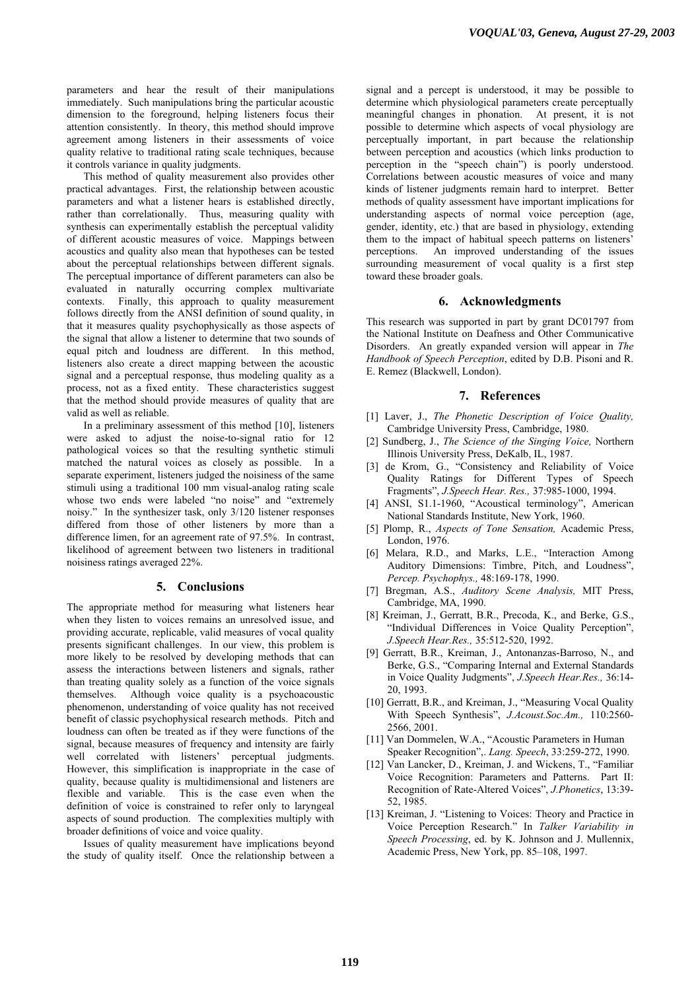parameters and hear the result of their manipulations immediately. Such manipulations bring the particular acoustic dimension to the foreground, helping listeners focus their attention consistently. In theory, this method should improve agreement among listeners in their assessments of voice quality relative to traditional rating scale techniques, because it controls variance in quality judgments.

This method of quality measurement also provides other practical advantages. First, the relationship between acoustic parameters and what a listener hears is established directly, rather than correlationally. Thus, measuring quality with synthesis can experimentally establish the perceptual validity of different acoustic measures of voice. Mappings between acoustics and quality also mean that hypotheses can be tested about the perceptual relationships between different signals. The perceptual importance of different parameters can also be evaluated in naturally occurring complex multivariate contexts. Finally, this approach to quality measurement follows directly from the ANSI definition of sound quality, in that it measures quality psychophysically as those aspects of the signal that allow a listener to determine that two sounds of equal pitch and loudness are different. In this method, listeners also create a direct mapping between the acoustic signal and a perceptual response, thus modeling quality as a process, not as a fixed entity. These characteristics suggest that the method should provide measures of quality that are valid as well as reliable.

In a preliminary assessment of this method [10], listeners were asked to adjust the noise-to-signal ratio for 12 pathological voices so that the resulting synthetic stimuli matched the natural voices as closely as possible. In a separate experiment, listeners judged the noisiness of the same stimuli using a traditional 100 mm visual-analog rating scale whose two ends were labeled "no noise" and "extremely noisy." In the synthesizer task, only 3/120 listener responses differed from those of other listeners by more than a difference limen, for an agreement rate of 97.5%. In contrast, likelihood of agreement between two listeners in traditional noisiness ratings averaged 22%.

#### **5. Conclusions**

The appropriate method for measuring what listeners hear when they listen to voices remains an unresolved issue, and providing accurate, replicable, valid measures of vocal quality presents significant challenges. In our view, this problem is more likely to be resolved by developing methods that can assess the interactions between listeners and signals, rather than treating quality solely as a function of the voice signals themselves. Although voice quality is a psychoacoustic phenomenon, understanding of voice quality has not received benefit of classic psychophysical research methods. Pitch and loudness can often be treated as if they were functions of the signal, because measures of frequency and intensity are fairly well correlated with listeners' perceptual judgments. However, this simplification is inappropriate in the case of quality, because quality is multidimensional and listeners are flexible and variable. This is the case even when the definition of voice is constrained to refer only to laryngeal aspects of sound production. The complexities multiply with broader definitions of voice and voice quality.

Issues of quality measurement have implications beyond the study of quality itself. Once the relationship between a signal and a percept is understood, it may be possible to determine which physiological parameters create perceptually meaningful changes in phonation. At present, it is not possible to determine which aspects of vocal physiology are perceptually important, in part because the relationship between perception and acoustics (which links production to perception in the "speech chain") is poorly understood. Correlations between acoustic measures of voice and many kinds of listener judgments remain hard to interpret. Better methods of quality assessment have important implications for understanding aspects of normal voice perception (age, gender, identity, etc.) that are based in physiology, extending them to the impact of habitual speech patterns on listeners' perceptions. An improved understanding of the issues surrounding measurement of vocal quality is a first step toward these broader goals.

### **6. Acknowledgments**

This research was supported in part by grant DC01797 from the National Institute on Deafness and Other Communicative Disorders. An greatly expanded version will appear in *The Handbook of Speech Perception*, edited by D.B. Pisoni and R. E. Remez (Blackwell, London).

#### **7. References**

- [1] Laver, J., *The Phonetic Description of Voice Quality,* Cambridge University Press, Cambridge, 1980.
- [2] Sundberg, J., *The Science of the Singing Voice,* Northern Illinois University Press, DeKalb, IL, 1987.
- [3] de Krom, G., "Consistency and Reliability of Voice Quality Ratings for Different Types of Speech Fragments", *J.Speech Hear. Res.,* 37:985-1000, 1994.
- [4] ANSI, S1.1-1960, "Acoustical terminology", American National Standards Institute, New York, 1960.
- [5] Plomp, R., *Aspects of Tone Sensation,* Academic Press, London, 1976.
- [6] Melara, R.D., and Marks, L.E., "Interaction Among Auditory Dimensions: Timbre, Pitch, and Loudness", *Percep. Psychophys.,* 48:169-178, 1990.
- [7] Bregman, A.S., *Auditory Scene Analysis,* MIT Press, Cambridge, MA, 1990.
- [8] Kreiman, J., Gerratt, B.R., Precoda, K., and Berke, G.S., "Individual Differences in Voice Quality Perception", *J.Speech Hear.Res.,* 35:512-520, 1992.
- [9] Gerratt, B.R., Kreiman, J., Antonanzas-Barroso, N., and Berke, G.S., "Comparing Internal and External Standards in Voice Quality Judgments", *J.Speech Hear.Res.,* 36:14- 20, 1993.
- [10] Gerratt, B.R., and Kreiman, J., "Measuring Vocal Quality With Speech Synthesis", *J.Acoust.Soc.Am.,* 110:2560- 2566, 2001.
- [11] Van Dommelen, W.A., "Acoustic Parameters in Human Speaker Recognition",. *Lang. Speech*, 33:259-272, 1990.
- [12] Van Lancker, D., Kreiman, J. and Wickens, T., "Familiar Voice Recognition: Parameters and Patterns. Part II: Recognition of Rate-Altered Voices", *J.Phonetics*, 13:39- 52, 1985.
- [13] Kreiman, J. "Listening to Voices: Theory and Practice in Voice Perception Research." In *Talker Variability in Speech Processing*, ed. by K. Johnson and J. Mullennix, Academic Press, New York, pp. 85–108, 1997.